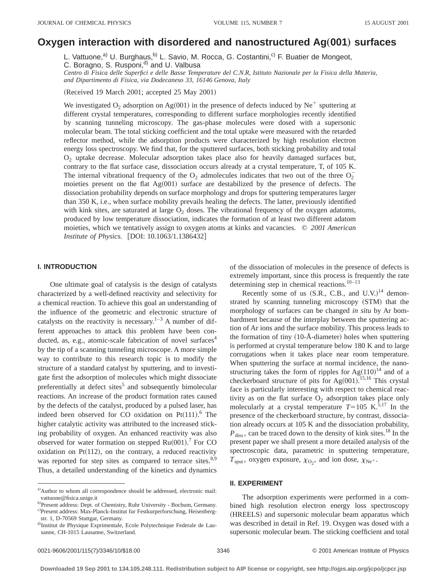# **Oxygen interaction with disordered and nanostructured Ag(001) surfaces**

L. Vattuone,<sup>a)</sup> U. Burghaus,<sup>b)</sup> L. Savio, M. Rocca, G. Costantini,<sup>c)</sup> F. Buatier de Mongeot, C. Boragno, S. Rusponi,<sup>d)</sup> and U. Valbusa

*Centro di Fisica delle Superfici e delle Basse Temperature del C.N.R, Istituto Nazionale per la Fisica della Materia, and Dipartimento di Fisica, via Dodecaneso 33, 16146 Genova, Italy*

(Received 19 March 2001; accepted 25 May 2001)

We investigated  $O_2$  adsorption on Ag $(001)$  in the presence of defects induced by Ne<sup>+</sup> sputtering at different crystal temperatures, corresponding to different surface morphologies recently identified by scanning tunneling microscopy. The gas-phase molecules were dosed with a supersonic molecular beam. The total sticking coefficient and the total uptake were measured with the retarded reflector method, while the adsorption products were characterized by high resolution electron energy loss spectroscopy. We find that, for the sputtered surfaces, both sticking probability and total  $O<sub>2</sub>$  uptake decrease. Molecular adsorption takes place also for heavily damaged surfaces but, contrary to the flat surface case, dissociation occurs already at a crystal temperature, T, of 105 K. The internal vibrational frequency of the  $O_2$  admolecules indicates that two out of the three  $O_2^$ moieties present on the flat  $Ag(001)$  surface are destabilized by the presence of defects. The dissociation probability depends on surface morphology and drops for sputtering temperatures larger than 350 K, i.e., when surface mobility prevails healing the defects. The latter, previously identified with kink sites, are saturated at large  $O<sub>2</sub>$  doses. The vibrational frequency of the oxygen adatoms, produced by low temperature dissociation, indicates the formation of at least two different adatom moieties, which we tentatively assign to oxygen atoms at kinks and vacancies. © *2001 American Institute of Physics.* [DOI: 10.1063/1.1386432]

## **I. INTRODUCTION**

One ultimate goal of catalysis is the design of catalysts characterized by a well-defined reactivity and selectivity for a chemical reaction. To achieve this goal an understanding of the influence of the geometric and electronic structure of catalysts on the reactivity is necessary. $1-3$  A number of different approaches to attack this problem have been conducted, as, e.g., atomic-scale fabrication of novel surfaces $4$ by the tip of a scanning tunneling microscope. A more simple way to contribute to this research topic is to modify the structure of a standard catalyst by sputtering, and to investigate first the adsorption of molecules which might dissociate preferentially at defect sites<sup>5</sup> and subsequently bimolecular reactions. An increase of the product formation rates caused by the defects of the catalyst, produced by a pulsed laser, has indeed been observed for CO oxidation on  $Pt(111).$ <sup>6</sup> The higher catalytic activity was attributed to the increased sticking probability of oxygen. An enhanced reactivity was also observed for water formation on stepped  $Ru(001)$ .<sup>7</sup> For CO oxidation on Pt $(112)$ , on the contrary, a reduced reactivity was reported for step sites as compared to terrace sites.<sup>8,9</sup> Thus, a detailed understanding of the kinetics and dynamics

of the dissociation of molecules in the presence of defects is extremely important, since this process is frequently the rate determining step in chemical reactions. $10-13$ 

Recently some of us  $(S.R., C.B., and U.V.)$ <sup>14</sup> demonstrated by scanning tunneling microscopy (STM) that the morphology of surfaces can be changed *in situ* by Ar bombardment because of the interplay between the sputtering action of Ar ions and the surface mobility. This process leads to the formation of tiny  $(10-A-diameter)$  holes when sputtering is performed at crystal temperature below 180 K and to large corrugations when it takes place near room temperature. When sputtering the surface at normal incidence, the nanostructuring takes the form of ripples for  $Ag(110)^{14}$  and of a checkerboard structure of pits for  $Ag(001)$ .<sup>15,16</sup> This crystal face is particularly interesting with respect to chemical reactivity as on the flat surface  $O_2$  adsorption takes place only molecularly at a crystal temperature  $T=105$  K.<sup>5,17</sup> In the presence of the checkerboard structure, by contrast, dissociation already occurs at 105 K and the dissociation probability,  $P_{\text{diss}}$ , can be traced down to the density of kink sites.<sup>18</sup> In the present paper we shall present a more detailed analysis of the spectroscopic data, parametric in sputtering temperature,  $T_{\text{sput}}$ , oxygen exposure,  $\chi_{\text{O}_2}$ , and ion dose,  $\chi_{\text{Ne}^+}$ .

## **II. EXPERIMENT**

The adsorption experiments were performed in a combined high resolution electron energy loss spectroscopy (HREELS) and supersonic molecular beam apparatus which was described in detail in Ref. 19. Oxygen was dosed with a supersonic molecular beam. The sticking coefficient and total

a)Author to whom all correspondence should be addressed, electronic mail: vattuone@fisica.unige.it

b)Present address: Dept. of Chemistry, Ruhr University - Bochum, Germany. c)Present address: Max-Planck-Institut fur Festkurperforschung, Heisenbergstr. 1, D-70569 Stuttgar, Germany.

d)Institut de Physique Exprimentale, Ecole Polytechnique Federale de Lausanne, CH-1015 Lausanne, Switzerland.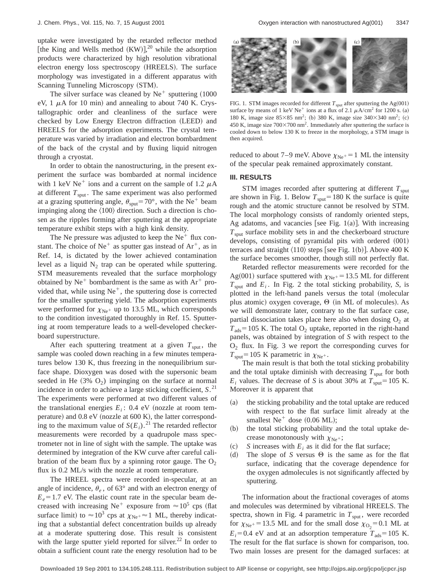uptake were investigated by the retarded reflector method [the King and Wells method  $(KW)$ ],<sup>20</sup> while the adsorption products were characterized by high resolution vibrational electron energy loss spectroscopy (HREELS). The surface morphology was investigated in a different apparatus with Scanning Tunneling Microscopy (STM).

The silver surface was cleaned by  $Ne^+$  sputtering  $(1000$ eV, 1  $\mu$ A for 10 min) and annealing to about 740 K. Crystallographic order and cleanliness of the surface were checked by Low Energy Electron diffraction (LEED) and HREELS for the adsorption experiments. The crystal temperature was varied by irradiation and electron bombardment of the back of the crystal and by fluxing liquid nitrogen through a cryostat.

In order to obtain the nanostructuring, in the present experiment the surface was bombarded at normal incidence with 1 keV Ne<sup>+</sup> ions and a current on the sample of 1.2  $\mu$ A at different  $T_{\text{sput}}$ . The same experiment was also performed at a grazing sputtering angle,  $\theta_{\text{sput}}=70^{\circ}$ , with the Ne<sup>+</sup> beam impinging along the  $\langle 100 \rangle$  direction. Such a direction is chosen as the ripples forming after sputtering at the appropriate temperature exhibit steps with a high kink density.

The Ne pressure was adjusted to keep the  $Ne<sup>+</sup>$  flux constant. The choice of  $Ne^+$  as sputter gas instead of  $Ar^+$ , as in Ref. 14, is dictated by the lower achieved contamination level as a liquid  $N_2$  trap can be operated while sputtering. STM measurements revealed that the surface morphology obtained by  $Ne^+$  bombardment is the same as with  $Ar^+$  provided that, while using  $Ne^+$ , the sputtering dose is corrected for the smaller sputtering yield. The adsorption experiments were performed for  $\chi_{\rm Ne^+}$  up to 13.5 ML, which corresponds to the condition investigated thoroughly in Ref. 15. Sputtering at room temperature leads to a well-developed checkerboard superstructure.

After each sputtering treatment at a given  $T_{\text{sput}}$ , the sample was cooled down reaching in a few minutes temperatures below 130 K, thus freezing in the nonequilibrium surface shape. Dioxygen was dosed with the supersonic beam seeded in He  $(3\%$  O<sub>2</sub>) impinging on the surface at normal incidence in order to achieve a large sticking coefficient, *S*. 21 The experiments were performed at two different values of the translational energies  $E_i$ : 0.4 eV (nozzle at room temperature) and 0.8 eV (nozzle at 600 K), the latter corresponding to the maximum value of  $S(E_i)$ .<sup>21</sup> The retarded reflector measurements were recorded by a quadrupole mass spectrometer not in line of sight with the sample. The uptake was determined by integration of the KW curve after careful calibration of the beam flux by a spinning rotor gauge. The  $O_2$ flux is 0.2 ML/s with the nozzle at room temperature.

The HREEL spectra were recorded in-specular, at an angle of incidence,  $\theta_e$ , of 63° and with an electron energy of  $E_e$ =1.7 eV. The elastic count rate in the specular beam decreased with increasing Ne<sup>+</sup> exposure from  $\approx 10^5$  cps (flat surface limit) to  $\approx 10^3$  cps at  $\chi_{\text{Ne}}$ + $\approx 1$  ML, thereby indicating that a substantial defect concentration builds up already at a moderate sputtering dose. This result is consistent with the large sputter yield reported for silver.<sup>22</sup> In order to obtain a sufficient count rate the energy resolution had to be



FIG. 1. STM images recorded for different  $T_{\text{sput}}$  after sputtering the Ag $(001)$ surface by means of 1 keV Ne<sup>+</sup> ions at a flux of 2.1  $\mu$ A/cm<sup>2</sup> for 1200 s. (a) 180 K, image size  $85\times85$  nm<sup>2</sup>; (b) 380 K, image size 340 $\times$ 340 nm<sup>2</sup>; (c) 450 K, image size  $700\times700$  nm<sup>2</sup>. Immediately after sputtering the surface is cooled down to below 130 K to freeze in the morphology, a STM image is then acquired.

reduced to about 7–9 meV. Above  $\chi_{Ne^+}$  = 1 ML the intensity of the specular peak remained approximately constant.

#### **III. RESULTS**

STM images recorded after sputtering at different  $T_{\text{sput}}$ are shown in Fig. 1. Below  $T_{\text{sput}}$ =180 K the surface is quite rough and the atomic structure cannot be resolved by STM. The local morphology consists of randomly oriented steps, Ag adatoms, and vacancies [see Fig. 1(a)]. With increasing  $T<sub>snut</sub>$  surface mobility sets in and the checkerboard structure develops, consisting of pyramidal pits with ordered  $(001)$ terraces and straight  $\langle 110 \rangle$  steps [see Fig. 1(b)]. Above 400 K the surface becomes smoother, though still not perfectly flat.

Retarded reflector measurements were recorded for the Ag(001) surface sputtered with  $\chi_{Ne^+}$  = 13.5 ML for different  $T_{\text{sput}}$  and  $E_i$ . In Fig. 2 the total sticking probability, *S*, is plotted in the left-hand panels versus the total (molecular plus atomic) oxygen coverage,  $\Theta$  (in ML of molecules). As we will demonstrate later, contrary to the flat surface case, partial dissociation takes place here also when dosing  $O_2$  at  $T_{ads}$ =105 K. The total O<sub>2</sub> uptake, reported in the right-hand panels, was obtained by integration of *S* with respect to the  $O<sub>2</sub>$  flux. In Fig. 3 we report the corresponding curves for  $T_{\text{sput}}$ =105 K parametric in  $\chi_{\text{Ne}^+}$ .

The main result is that both the total sticking probability and the total uptake diminish with decreasing  $T_{\text{sput}}$  for both  $E_i$  values. The decrease of *S* is about 30% at  $T_{\text{sput}}=105$  K. Moreover it is apparent that

- (a) the sticking probability and the total uptake are reduced with respect to the flat surface limit already at the smallest  $Ne^+$  dose  $(0.06 \text{ ML})$ ;
- (b) the total sticking probability and the total uptake decrease monotonously with  $\chi_{\rm Ne^+}$ ;
- $\sigma$  *S* increases with  $E_i$  as it did for the flat surface;
- (d) The slope of *S* versus  $\Theta$  is the same as for the flat surface, indicating that the coverage dependence for the oxygen admolecules is not significantly affected by sputtering.

The information about the fractional coverages of atoms and molecules was determined by vibrational HREELS. The spectra, shown in Fig. 4 parametric in  $T_{\text{sput}}$ , were recorded for  $\chi_{\text{Ne}^+}$  = 13.5 ML and for the small dose  $\chi_{\text{O}_2}$  = 0.1 ML at  $E_i$ =0.4 eV and at an adsorption temperature  $T_{ads}$ =105 K. The result for the flat surface is shown for comparison, too. Two main losses are present for the damaged surfaces: at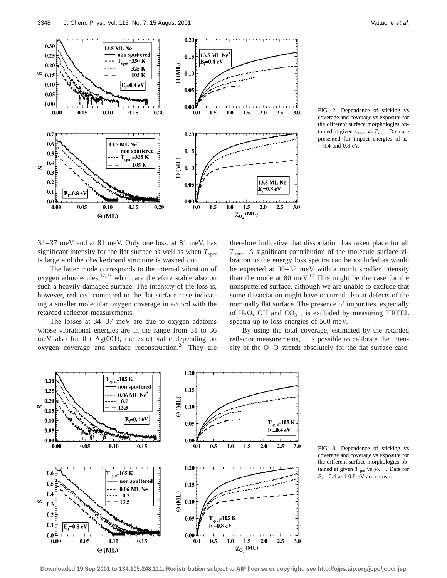

FIG. 2. Dependence of sticking vs coverage and coverage vs exposure for the different surface morphologies obtained at given  $\chi_{\rm Ne^+}$  vs  $T_{\rm sput}$ . Data are presented for impact energies of *Ei*  $=0.4$  and 0.8 eV.

34–37 meV and at 81 meV. Only one loss, at 81 meV, has significant intensity for the flat surface as well as when  $T_{\text{sput}}$ is large and the checkerboard structure is washed out.

The latter mode corresponds to the internal vibration of oxygen admolecules, $17,23$  which are therefore stable also on such a heavily damaged surface. The intensity of the loss is, however, reduced compared to the flat surface case indicating a smaller molecular oxygen coverage in accord with the retarded reflector measurements.

The losses at 34–37 meV are due to oxygen adatoms whose vibrational energies are in the range from 31 to 36 meV also for flat  $Ag(001)$ , the exact value depending on oxygen coverage and surface reconstruction. $24$  They are

therefore indicative that dissociation has taken place for all  $T<sub>sput</sub>$ . A significant contribution of the molecule surface vibration to the energy loss spectra can be excluded as would be expected at 30–32 meV with a much smaller intensity than the mode at 80 meV.<sup>17</sup> This might be the case for the nonsputtered surface, although we are unable to exclude that some dissociation might have occurred also at defects of the nominally flat surface. The presence of impurities, especially of H<sub>2</sub>O, OH and  $CO_3^-$ , is excluded by measuring HREEL spectra up to loss energies of 500 meV.

By using the total coverage, estimated by the retarded reflector measurements, it is possible to calibrate the intensity of the O–O stretch absolutely for the flat surface case,



FIG. 3. Dependence of sticking vs coverage and coverage vs exposure for the different surface morphologies obtained at given  $T_{\text{sput}}$  vs  $\chi_{\text{Ne}^+}$ . Data for  $E_i$ =0.4 and 0.8 eV are shown.

**Downloaded 19 Sep 2001 to 134.105.248.111. Redistribution subject to AIP license or copyright, see http://ojps.aip.org/jcpo/jcpcr.jsp**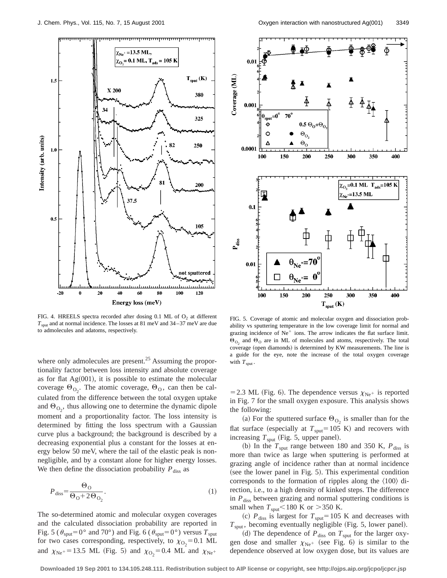

FIG. 4. HREELS spectra recorded after dosing  $0.1$  ML of  $O<sub>2</sub>$  at different *T*sput and at normal incidence. The losses at 81 meV and 34–37 meV are due to admolecules and adatoms, respectively.

where only admolecules are present. $25$  Assuming the proportionality factor between loss intensity and absolute coverage as for flat  $Ag(001)$ , it is possible to estimate the molecular coverage  $\Theta_{\text{O}_2}$ . The atomic coverage,  $\Theta_{\text{O}}$ , can then be calculated from the difference between the total oxygen uptake and  $\Theta_{\text{O}_2}$ , thus allowing one to determine the dynamic dipole moment and a proportionality factor. The loss intensity is determined by fitting the loss spectrum with a Gaussian curve plus a background; the background is described by a decreasing exponential plus a constant for the losses at energy below 50 meV, where the tail of the elastic peak is nonnegligible, and by a constant alone for higher energy losses. We then define the dissociation probability  $P_{\text{diss}}$  as

$$
P_{\text{diss}} = \frac{\Theta_{\text{O}}}{\Theta_{\text{O}} + 2\Theta_{\text{O}_2}}.\tag{1}
$$

The so-determined atomic and molecular oxygen coverages and the calculated dissociation probability are reported in Fig. 5 ( $\theta_{\text{sput}}$ =0° and 70°) and Fig. 6 ( $\theta_{\text{sput}}$ =0°) versus  $T_{\text{sput}}$ for two cases corresponding, respectively, to  $\chi_{\text{O}_2} = 0.1 \text{ ML}$ and  $\chi_{\text{Ne}}$ +=13.5 ML (Fig. 5) and  $\chi_{\text{O}_2}$ =0.4 ML and  $\chi_{\text{Ne}}$ +



FIG. 5. Coverage of atomic and molecular oxygen and dissociation probability vs sputtering temperature in the low coverage limit for normal and grazing incidence of  $Ne<sup>+</sup>$  ions. The arrow indicates the flat surface limit.  $\Theta_{\text{O}_2}$  and  $\Theta_{\text{O}}$  are in ML of molecules and atoms, respectively. The total coverage (open diamonds) is determined by KW measurements. The line is a guide for the eye, note the increase of the total oxygen coverage with  $T_{\text{sput}}$ .

= 2.3 ML (Fig. 6). The dependence versus  $\chi_{\text{Ne}^+}$  is reported in Fig. 7 for the small oxygen exposure. This analysis shows the following:

(a) For the sputtered surface  $\Theta_{\text{O}_2}$  is smaller than for the flat surface (especially at  $T_{sput}$ =105 K) and recovers with increasing  $T_{\text{sput}}$  (Fig. 5, upper panel).

(b) In the  $T_{\text{sput}}$  range between 180 and 350 K,  $P_{\text{diss}}$  is more than twice as large when sputtering is performed at grazing angle of incidence rather than at normal incidence (see the lower panel in Fig.  $5$ ). This experimental condition corresponds to the formation of ripples along the  $\langle 100 \rangle$  direction, i.e., to a high density of kinked steps. The difference in  $P_{\text{diss}}$  between grazing and normal sputtering conditions is small when  $T_{sput}$  < 180 K or > 350 K.

(c)  $P_{\text{diss}}$  is largest for  $T_{\text{sput}}=105$  K and decreases with  $T<sub>sput</sub>$ , becoming eventually negligible (Fig. 5, lower panel).

(d) The dependence of  $P_{\text{diss}}$  on  $T_{\text{sput}}$  for the larger oxygen dose and smaller  $\chi_{\text{Ne}^+}$  (see Fig. 6) is similar to the dependence observed at low oxygen dose, but its values are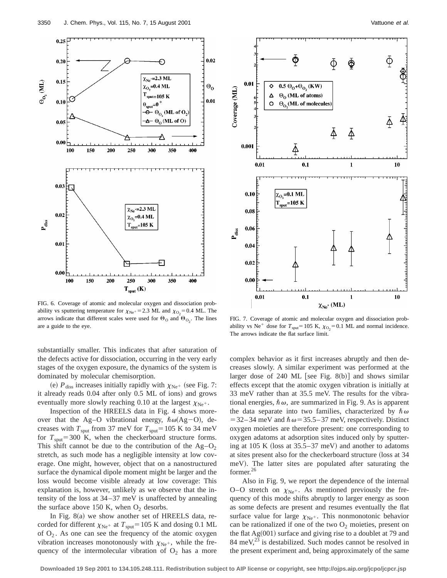

FIG. 6. Coverage of atomic and molecular oxygen and dissociation probability vs sputtering temperature for  $\chi_{Ne^+} = 2.3$  ML and  $\chi_{O_2} = 0.4$  ML. The arrows indicate that different scales were used for  $\Theta_0$  and  $\Theta_{\text{O}_2}$ . The lines are a guide to the eye.

substantially smaller. This indicates that after saturation of the defects active for dissociation, occurring in the very early stages of the oxygen exposure, the dynamics of the system is dominated by molecular chemisorption.

(e)  $P_{\text{diss}}$  increases initially rapidly with  $\chi_{\text{Ne}^+}$  (see Fig. 7: it already reads 0.04 after only 0.5 ML of ions) and grows eventually more slowly reaching 0.10 at the largest  $\chi_{N_e^+}$ .

Inspection of the HREELS data in Fig. 4 shows moreover that the Ag–O vibrational energy,  $\hbar \omega(Ag-Q)$ , decreases with  $T_{\text{sput}}$  from 37 meV for  $T_{\text{sput}}$ =105 K to 34 meV for  $T_{sput}$ =300 K, when the checkerboard structure forms. This shift cannot be due to the contribution of the  $Ag-O<sub>2</sub>$ stretch, as such mode has a negligible intensity at low coverage. One might, however, object that on a nanostructured surface the dynamical dipole moment might be larger and the loss would become visible already at low coverage: This explanation is, however, unlikely as we observe that the intensity of the loss at 34–37 meV is unaffected by annealing the surface above 150 K, when  $O_2$  desorbs.

In Fig.  $8(a)$  we show another set of HREELS data, recorded for different  $\chi_{\text{Ne}^+}$  at  $T_{\text{sput}}$ =105 K and dosing 0.1 ML of  $O_2$ . As one can see the frequency of the atomic oxygen vibration increases monotonously with  $\chi_{\rm Ne^+}$ , while the frequency of the intermolecular vibration of  $O_2$  has a more



FIG. 7. Coverage of atomic and molecular oxygen and dissociation probability vs Ne<sup>+</sup> dose for  $T_{\text{sput}}$ =105 K,  $\chi_{\text{O}_2}$ =0.1 ML and normal incidence. The arrows indicate the flat surface limit.

complex behavior as it first increases abruptly and then decreases slowly. A similar experiment was performed at the larger dose of 240 ML [see Fig.  $8(b)$ ] and shows similar effects except that the atomic oxygen vibration is initially at 33 meV rather than at 35.5 meV. The results for the vibrational energies,  $\hbar \omega$ , are summarized in Fig. 9. As is apparent the data separate into two families, characterized by  $\hbar \omega$  $=$  32–34 meV and  $\hbar \omega$  = 35.5–37 meV, respectively. Distinct oxygen moieties are therefore present: one corresponding to oxygen adatoms at adsorption sites induced only by sputtering at 105 K (loss at  $35.5-37$  meV) and another to adatoms at sites present also for the checkerboard structure (loss at 34 meV). The latter sites are populated after saturating the former.26

Also in Fig. 9, we report the dependence of the internal O–O stretch on  $\chi_{\rm Ne^+}$ . As mentioned previously the frequency of this mode shifts abruptly to larger energy as soon as some defects are present and resumes eventually the flat surface value for large  $\chi_{\text{Ne}^+}$ . This nonmonotonic behavior can be rationalized if one of the two  $O_2$  moieties, present on the flat  $Ag(001)$  surface and giving rise to a doublet at 79 and 84 meV $^{23}$  is destabilized. Such modes cannot be resolved in the present experiment and, being approximately of the same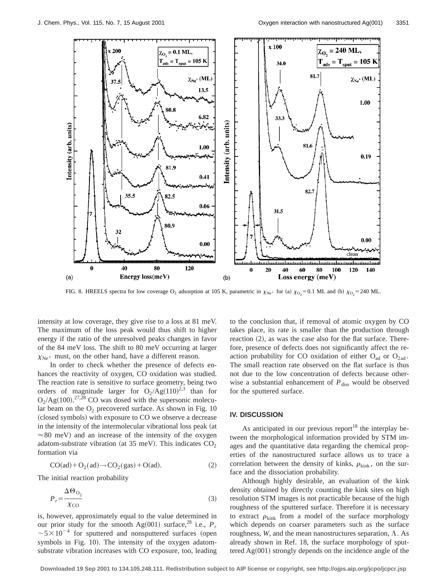

FIG. 8. HREELS spectra for low coverage O<sub>2</sub> adsorption at 105 K, parametric in  $\chi_{Ne^+}$  for (a)  $\chi_{O_2} = 0.1$  ML and (b)  $\chi_{O_2} = 240$  ML.

intensity at low coverage, they give rise to a loss at 81 meV. The maximum of the loss peak would thus shift to higher energy if the ratio of the unresolved peaks changes in favor of the 84 meV loss. The shift to 80 meV occurring at larger  $X_{\text{Ne}^+}$  must, on the other hand, have a different reason.

In order to check whether the presence of defects enhances the reactivity of oxygen, CO oxidation was studied. The reaction rate is sensitive to surface geometry, being two orders of magnitude larger for  $O_2/Ag(110)^{2,3}$  than for  $O_2/Ag(100).^{27,28}$  CO was dosed with the supersonic molecular beam on the  $O_2$  precovered surface. As shown in Fig. 10 (closed symbols) with exposure to CO we observe a decrease in the intensity of the intermolecular vibrational loss peak (at  $\approx 80$  meV) and an increase of the intensity of the oxygen adatom-substrate vibration (at 35 meV). This indicates  $CO<sub>2</sub>$ formation via

$$
CO(ad) + O_2(ad) \rightarrow CO_2(gas) + O(ad). \tag{2}
$$

The initial reaction probability

$$
P_r = \frac{\Delta \Theta_{\text{O}_2}}{\chi_{\text{CO}}}
$$
 (3)

is, however, approximately equal to the value determined in our prior study for the smooth Ag $(001)$  surface,<sup>28</sup> i.e.,  $P_r$  $\sim$  5  $\times$  10<sup>-4</sup> for sputtered and nonsputtered surfaces (open symbols in Fig. 10). The intensity of the oxygen adatomsubstrate vibration increases with CO exposure, too, leading to the conclusion that, if removal of atomic oxygen by CO takes place, its rate is smaller than the production through reaction  $(2)$ , as was the case also for the flat surface. Therefore, presence of defects does not significantly affect the reaction probability for CO oxidation of either  $O_{ad}$  or  $O_{2ad}$ . The small reaction rate observed on the flat surface is thus not due to the low concentration of defects because otherwise a substantial enhancement of  $P_{\text{diss}}$  would be observed for the sputtered surface.

# **IV. DISCUSSION**

As anticipated in our previous report<sup>18</sup> the interplay between the morphological information provided by STM images and the quantitative data regarding the chemical properties of the nanostructured surface allows us to trace a correlation between the density of kinks,  $\rho_{\text{kink}}$ , on the surface and the dissociation probability.

Although highly desirable, an evaluation of the kink density obtained by directly counting the kink sites on high resolution STM images is not practicable because of the high roughness of the sputtered surface. Therefore it is necessary to extract  $\rho_{\text{kink}}$  from a model of the surface morphology which depends on coarser parameters such as the surface roughness,  $W$ , and the mean nanostructures separation,  $\Lambda$ . As already shown in Ref. 18, the surface morphology of sputtered  $Ag(001)$  strongly depends on the incidence angle of the

**Downloaded 19 Sep 2001 to 134.105.248.111. Redistribution subject to AIP license or copyright, see http://ojps.aip.org/jcpo/jcpcr.jsp**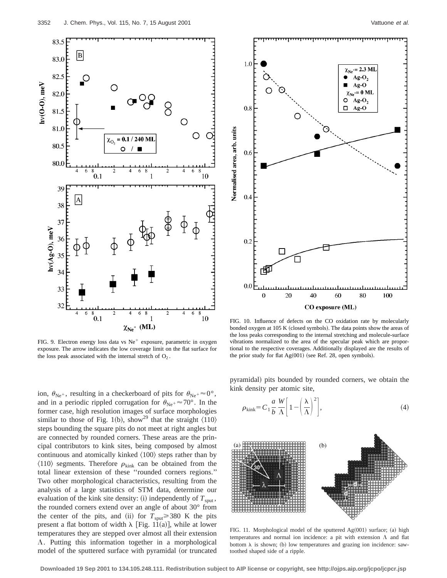

FIG. 9. Electron energy loss data vs  $Ne^+$  exposure, parametric in oxygen exposure. The arrow indicates the low coverage limit on the flat surface for the loss peak associated with the internal stretch of  $O_2$ .

ion,  $\theta_{\text{Ne}^+}$ , resulting in a checkerboard of pits for  $\theta_{\text{Ne}^+} \approx 0^\circ$ , and in a periodic rippled corrugation for  $\theta_{Ne^+} \approx 70^\circ$ . In the former case, high resolution images of surface morphologies similar to those of Fig. 1(b), show<sup>29</sup> that the straight  $\langle 110 \rangle$ steps bounding the square pits do not meet at right angles but are connected by rounded corners. These areas are the principal contributors to kink sites, being composed by almost continuous and atomically kinked  $\langle 100 \rangle$  steps rather than by  $\langle 110 \rangle$  segments. Therefore  $\rho_{\text{kink}}$  can be obtained from the total linear extension of these ''rounded corners regions.'' Two other morphological characteristics, resulting from the analysis of a large statistics of STM data, determine our evaluation of the kink site density: (i) independently of  $T_{\text{sput}}$ , the rounded corners extend over an angle of about 30° from the center of the pits, and (ii) for  $T_{\text{sput}} \ge 380$  K the pits present a flat bottom of width  $\lambda$  [Fig. 11(a)], while at lower temperatures they are stepped over almost all their extension  $\Lambda$ . Putting this information together in a morphological model of the sputtered surface with pyramidal (or truncated



FIG. 10. Influence of defects on the CO oxidation rate by molecularly bonded oxygen at 105 K (closed symbols). The data points show the areas of the loss peaks corresponding to the internal stretching and molecule-surface vibrations normalized to the area of the specular peak which are proportional to the respective coverages. Additionally displayed are the results of the prior study for flat  $Ag(001)$  (see Ref. 28, open symbols).

pyramidal) pits bounded by rounded corners, we obtain the kink density per atomic site,

$$
\rho_{\text{kink}} = C_1 \frac{a}{b} \frac{W}{\Lambda} \left[ 1 - \left( \frac{\lambda}{\Lambda} \right)^2 \right],\tag{4}
$$



FIG. 11. Morphological model of the sputtered  $Ag(001)$  surface; (a) high temperatures and normal ion incidence: a pit with extension  $\Lambda$  and flat bottom  $\lambda$  is shown; (b) low temperatures and grazing ion incidence: sawtoothed shaped side of a ripple.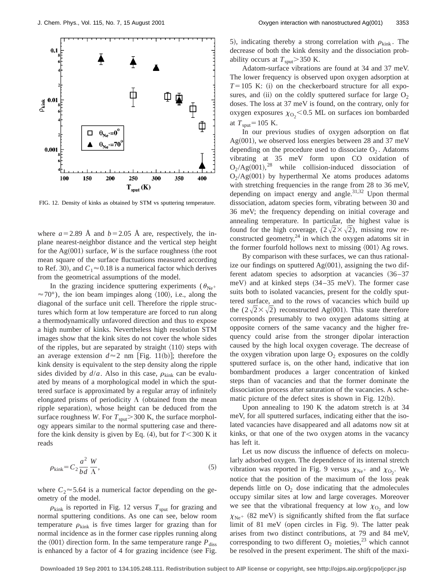

FIG. 12. Density of kinks as obtained by STM vs sputtering temperature.

where  $a=2.89$  Å and  $b=2.05$  Å are, respectively, the inplane nearest-neighbor distance and the vertical step height for the  $Ag(001)$  surface, *W* is the surface roughness (the root mean square of the surface fluctuations measured according to Ref. 30), and  $C_1 \approx 0.18$  is a numerical factor which derives from the geometrical assumptions of the model.

In the grazing incidence sputtering experiments ( $\theta_{\text{Ne}^+}$  $\approx$  70°), the ion beam impinges along  $\langle 100 \rangle$ , i.e., along the diagonal of the surface unit cell. Therefore the ripple structures which form at low temperature are forced to run along a thermodynamically unfavored direction and thus to expose a high number of kinks. Nevertheless high resolution STM images show that the kink sites do not cover the whole sides of the ripples, but are separated by straight  $\langle 110 \rangle$  steps with an average extension  $d \approx 2$  nm [Fig. 11(b)]; therefore the kink density is equivalent to the step density along the ripple sides divided by  $d/a$ . Also in this case,  $\rho_{\text{kink}}$  can be evaluated by means of a morphological model in which the sputtered surface is approximated by a regular array of infinitely elongated prisms of periodicity  $\Lambda$  (obtained from the mean ripple separation), whose height can be deduced from the surface roughness *W*. For  $T_{sput}$  > 300 K, the surface morphology appears similar to the normal sputtering case and therefore the kink density is given by Eq.  $(4)$ , but for  $T < 300$  K it reads

$$
\rho_{\text{kink}} = C_2 \frac{a^2}{bd} \frac{W}{\Lambda},\tag{5}
$$

where  $C_2 \approx 5.64$  is a numerical factor depending on the geometry of the model.

 $\rho_{\text{kink}}$  is reported in Fig. 12 versus  $T_{\text{sput}}$  for grazing and normal sputtering conditions. As one can see, below room temperature  $\rho_{\text{kink}}$  is five times larger for grazing than for normal incidence as in the former case ripples running along the  $\langle 001 \rangle$  direction form. In the same temperature range  $P_{\text{diss}}$ is enhanced by a factor of  $4$  for grazing incidence (see Fig. 5), indicating thereby a strong correlation with  $\rho_{\text{kink}}$ . The decrease of both the kink density and the dissociation probability occurs at  $T_{\text{sput}}$  > 350 K.

Adatom-surface vibrations are found at 34 and 37 meV. The lower frequency is observed upon oxygen adsorption at  $T=105$  K: (i) on the checkerboard structure for all exposures, and (ii) on the coldly sputtered surface for large  $O_2$ doses. The loss at 37 meV is found, on the contrary, only for oxygen exposures  $\chi_{\text{O}_2}$  < 0.5 ML on surfaces ion bombarded at  $T_{\text{sput}}$ =105 K.

In our previous studies of oxygen adsorption on flat Ag $(001)$ , we observed loss energies between 28 and 37 meV depending on the procedure used to dissociate  $O_2$ . Adatoms vibrating at 35 meV form upon CO oxidation of  $O_2/Ag(001),^{28}$  while collision-induced dissociation of  $O_2/Ag(001)$  by hyperthermal Xe atoms produces adatoms with stretching frequencies in the range from 28 to 36 meV, depending on impact energy and angle. $31,32$  Upon thermal dissociation, adatom species form, vibrating between 30 and 36 meV; the frequency depending on initial coverage and annealing temperature. In particular, the highest value is found for the high coverage,  $(2\sqrt{2} \times \sqrt{2})$ , missing row reconstructed geometry,  $24$  in which the oxygen adatoms sit in the former fourfold hollows next to missing  $\langle 001 \rangle$  Ag rows.

By comparison with these surfaces, we can thus rationalize our findings on sputtered  $Ag(001)$ , assigning the two different adatom species to adsorption at vacancies  $(36-37)$ meV) and at kinked steps  $(34-35 \text{ meV})$ . The former case suits both to isolated vacancies, present for the coldly sputtered surface, and to the rows of vacancies which build up the  $(2\sqrt{2}\times\sqrt{2})$  reconstructed Ag(001). This state therefore corresponds presumably to two oxygen adatoms sitting at opposite corners of the same vacancy and the higher frequency could arise from the stronger dipolar interaction caused by the high local oxygen coverage. The decrease of the oxygen vibration upon large  $O_2$  exposures on the coldly sputtered surface is, on the other hand, indicative that ion bombardment produces a larger concentration of kinked steps than of vacancies and that the former dominate the dissociation process after saturation of the vacancies. A schematic picture of the defect sites is shown in Fig.  $12(b)$ .

Upon annealing to 190 K the adatom stretch is at 34 meV, for all sputtered surfaces, indicating either that the isolated vacancies have disappeared and all adatoms now sit at kinks, or that one of the two oxygen atoms in the vacancy has left it.

Let us now discuss the influence of defects on molecularly adsorbed oxygen. The dependence of its internal stretch vibration was reported in Fig. 9 versus  $\chi_{\text{Ne}^+}$  and  $\chi_{\text{O}_2}$ . We notice that the position of the maximum of the loss peak depends little on  $O_2$  dose indicating that the admolecules occupy similar sites at low and large coverages. Moreover we see that the vibrational frequency at low  $\chi_{\text{O}_2}$  and low  $\chi_{\text{Ne}^+}$  (82 meV) is significantly shifted from the flat surface limit of  $81$  meV (open circles in Fig. 9). The latter peak arises from two distinct contributions, at 79 and 84 meV, corresponding to two different  $O_2$  moieties,<sup>23</sup> which cannot be resolved in the present experiment. The shift of the maxi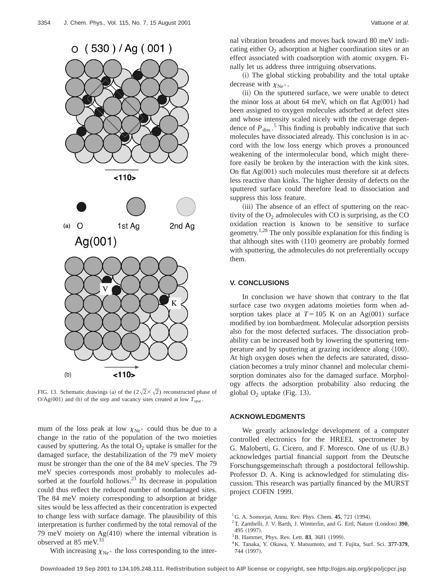$O(530)/Ag(001)$ 



FIG. 13. Schematic drawings (a) of the  $(2\sqrt{2}\times\sqrt{2})$  reconstructed phase of  $O/Ag(001)$  and (b) of the step and vacancy sites created at low  $T_{sput}$ .

mum of the loss peak at low  $\chi_{\rm Ne^+}$  could thus be due to a change in the ratio of the population of the two moieties caused by sputtering. As the total  $O_2$  uptake is smaller for the damaged surface, the destabilization of the 79 meV moiety must be stronger than the one of the 84 meV species. The 79 meV species corresponds most probably to molecules adsorbed at the fourfold hollows. $^{23}$  Its decrease in population could thus reflect the reduced number of nondamaged sites. The 84 meV moiety corresponding to adsorption at bridge sites would be less affected as their concentration is expected to change less with surface damage. The plausibility of this interpretation is further confirmed by the total removal of the 79 meV moiety on  $Ag(410)$  where the internal vibration is observed at 85 meV.<sup>33</sup>

With increasing  $\chi_{\text{Ne}^+}$  the loss corresponding to the inter-

nal vibration broadens and moves back toward 80 meV indicating either  $O_2$  adsorption at higher coordination sites or an effect associated with coadsorption with atomic oxygen. Finally let us address three intriguing observations.

(i) The global sticking probability and the total uptake decrease with  $\chi_{\rm Ne^+}$ .

(ii) On the sputtered surface, we were unable to detect the minor loss at about 64 meV, which on flat  $Ag(001)$  had been assigned to oxygen molecules adsorbed at defect sites and whose intensity scaled nicely with the coverage dependence of  $P_{\text{diss}}$ .<sup>5</sup> This finding is probably indicative that such molecules have dissociated already. This conclusion is in accord with the low loss energy which proves a pronounced weakening of the intermolecular bond, which might therefore easily be broken by the interaction with the kink sites. On flat  $Ag(001)$  such molecules must therefore sit at defects less reactive than kinks. The higher density of defects on the sputtered surface could therefore lead to dissociation and suppress this loss feature.

(iii) The absence of an effect of sputtering on the reactivity of the  $O<sub>2</sub>$  admolecules with CO is surprising, as the CO oxidation reaction is known to be sensitive to surface geometry.1,28 The only possible explanation for this finding is that although sites with  $(110)$  geometry are probably formed with sputtering, the admolecules do not preferentially occupy them.

### **V. CONCLUSIONS**

In conclusion we have shown that contrary to the flat surface case two oxygen adatoms moieties form when adsorption takes place at  $T=105$  K on an Ag $(001)$  surface modified by ion bombardment. Molecular adsorption persists also for the most defected surfaces. The dissociation probability can be increased both by lowering the sputtering temperature and by sputtering at grazing incidence along  $\langle 100 \rangle$ . At high oxygen doses when the defects are saturated, dissociation becomes a truly minor channel and molecular chemisorption dominates also for the damaged surface. Morphology affects the adsorption probability also reducing the global  $O_2$  uptake (Fig. 13).

## **ACKNOWLEDGMENTS**

We greatly acknowledge development of a computer controlled electronics for the HREEL spectrometer by G. Maloberti, G. Cicero, and F. Moresco. One of us (U.B.) acknowledges partial financial support from the Deutsche Forschungsgemeinschaft through a postdoctoral fellowship. Professor D. A. King is acknowledged for stimulating discussion. This research was partially financed by the MURST project COFIN 1999.

- <sup>2</sup>T. Zambelli, J. V. Barth, J. Wintterlin, and G. Ertl, Nature (London) 390, 495 (1997).
- <sup>3</sup>B. Hammer, Phys. Rev. Lett. **83**, 3681 (1999).

<sup>&</sup>lt;sup>1</sup>G. A. Somorjai, Annu. Rev. Phys. Chem. **45**, 721 (1994).

<sup>4</sup>K. Tanaka, Y. Okawa, Y. Matsumoto, and T. Fujita, Surf. Sci. **377-379**, 744 (1997).